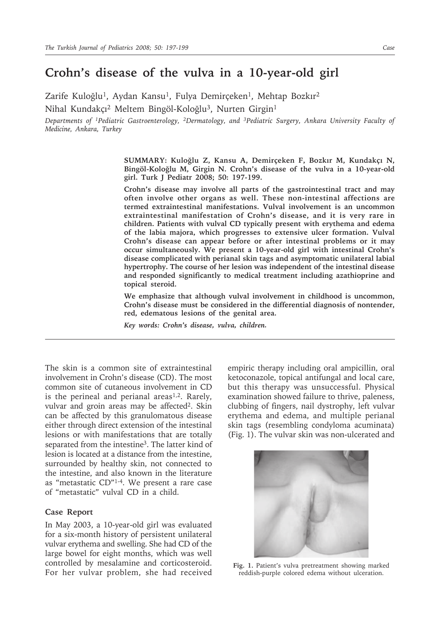## **Crohn's disease of the vulva in a 10-year-old girl**

Zarife Kuloğlu<sup>1</sup>, Aydan Kansu<sup>1</sup>, Fulya Demirçeken<sup>1</sup>, Mehtap Bozkır<sup>2</sup>

Nihal Kundakçı<sup>2</sup> Meltem Bingöl-Koloğlu<sup>3</sup>, Nurten Girgin<sup>1</sup>

*Departments of 1Pediatric Gastroenterology, 2Dermatology, and 3Pediatric Surgery, Ankara University Faculty of Medicine, Ankara, Turkey*

> **SUMMARY: Kuloğlu Z, Kansu A, Demirçeken F, Bozkır M, Kundakçı N, Bingöl-Koloğlu M, Girgin N. Crohn's disease of the vulva in a 10-year-old girl. Turk J Pediatr 2008; 50: 197-199.**

> **Crohn's disease may involve all parts of the gastrointestinal tract and may often involve other organs as well. These non-intestinal affections are termed extraintestinal manifestations. Vulval involvement is an uncommon extraintestinal manifestation of Crohn's disease, and it is very rare in children. Patients with vulval CD typically present with erythema and edema of the labia majora, which progresses to extensive ulcer formation. Vulval Crohn's disease can appear before or after intestinal problems or it may occur simultaneously. We present a 10-year-old girl with intestinal Crohn's disease complicated with perianal skin tags and asymptomatic unilateral labial hypertrophy. The course of her lesion was independent of the intestinal disease and responded significantly to medical treatment including azathioprine and topical steroid.**

> **We emphasize that although vulval involvement in childhood is uncommon, Crohn's disease must be considered in the differential diagnosis of nontender, red, edematous lesions of the genital area.**

*Key words: Crohn's disease, vulva, children.*

The skin is a common site of extraintestinal involvement in Crohn's disease (CD). The most common site of cutaneous involvement in CD is the perineal and perianal areas<sup>1,2</sup>. Rarely, vulvar and groin areas may be affected<sup>2</sup>. Skin can be affected by this granulomatous disease either through direct extension of the intestinal lesions or with manifestations that are totally separated from the intestine3. The latter kind of lesion is located at a distance from the intestine, surrounded by healthy skin, not connected to the intestine, and also known in the literature as "metastatic CD"1-4. We present a rare case of "metastatic" vulval CD in a child.

## **Case Report**

In May 2003, a 10-year-old girl was evaluated for a six-month history of persistent unilateral vulvar erythema and swelling. She had CD of the large bowel for eight months, which was well controlled by mesalamine and corticosteroid. For her vulvar problem, she had received

empiric therapy including oral ampicillin, oral ketoconazole, topical antifungal and local care, but this therapy was unsuccessful. Physical examination showed failure to thrive, paleness, clubbing of fingers, nail dystrophy, left vulvar erythema and edema, and multiple perianal skin tags (resembling condyloma acuminata) (Fig. 1). The vulvar skin was non-ulcerated and



**Fig. 1.** Patient's vulva pretreatment showing marked reddish-purple colored edema without ulceration.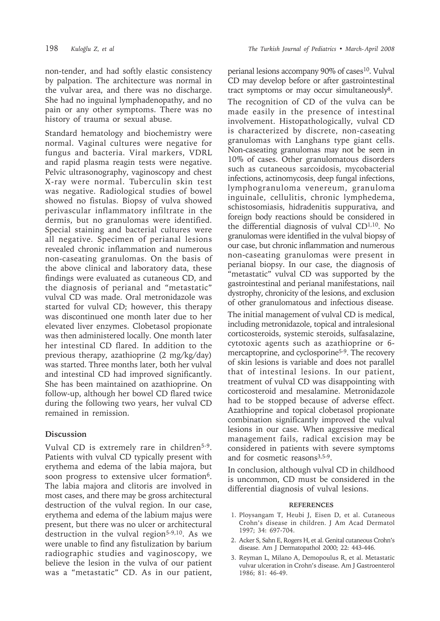non-tender, and had softly elastic consistency by palpation. The architecture was normal in the vulvar area, and there was no discharge. She had no inguinal lymphadenopathy, and no pain or any other symptoms. There was no history of trauma or sexual abuse.

Standard hematology and biochemistry were normal. Vaginal cultures were negative for fungus and bacteria. Viral markers, VDRL and rapid plasma reagin tests were negative. Pelvic ultrasonography, vaginoscopy and chest X-ray were normal. Tuberculin skin test was negative. Radiological studies of bowel showed no fistulas. Biopsy of vulva showed perivascular inflammatory infiltrate in the dermis, but no granulomas were identified. Special staining and bacterial cultures were all negative. Specimen of perianal lesions revealed chronic inflammation and numerous non-caseating granulomas. On the basis of the above clinical and laboratory data, these findings were evaluated as cutaneous CD, and the diagnosis of perianal and "metastatic" vulval CD was made. Oral metronidazole was started for vulval CD; however, this therapy was discontinued one month later due to her elevated liver enzymes. Clobetasol propionate was then administered locally. One month later her intestinal CD flared. In addition to the previous therapy, azathioprine (2 mg/kg/day) was started. Three months later, both her vulval and intestinal CD had improved significantly. She has been maintained on azathioprine. On follow-up, although her bowel CD flared twice during the following two years, her vulval CD remained in remission.

## **Discussion**

Vulval CD is extremely rare in children<sup>5-9</sup>. Patients with vulval CD typically present with erythema and edema of the labia majora, but soon progress to extensive ulcer formation<sup>6</sup>. The labia majora and clitoris are involved in most cases, and there may be gross architectural destruction of the vulval region. In our case, erythema and edema of the labium majus were present, but there was no ulcer or architectural destruction in the vulval region<sup>5-9,10</sup>. As we were unable to find any fistulization by barium radiographic studies and vaginoscopy, we believe the lesion in the vulva of our patient was a "metastatic" CD. As in our patient,

perianal lesions accompany 90% of cases<sup>10</sup>. Vulval CD may develop before or after gastrointestinal tract symptoms or may occur simultaneously8. The recognition of CD of the vulva can be made easily in the presence of intestinal involvement. Histopathologically, vulval CD is characterized by discrete, non-caseating granulomas with Langhans type giant cells. Non-caseating granulomas may not be seen in 10% of cases. Other granulomatous disorders such as cutaneous sarcoidosis, mycobacterial infections, actinomycosis, deep fungal infections, lymphogranuloma venereum, granuloma inguinale, cellulitis, chronic lymphedema, schistosomiasis, hidradenitis suppurativa, and foreign body reactions should be considered in the differential diagnosis of vulval  $CD<sup>1,10</sup>$ . No granulomas were identified in the vulval biopsy of our case, but chronic inflammation and numerous non-caseating granulomas were present in perianal biopsy. In our case, the diagnosis of "metastatic" vulval CD was supported by the gastrointestinal and perianal manifestations, nail dystrophy, chronicity of the lesions, and exclusion of other granulomatous and infectious disease. The initial management of vulval CD is medical, including metronidazole, topical and intralesional corticosteroids, systemic steroids, sulfasalazine, cytotoxic agents such as azathioprine or 6 mercaptoprine, and cyclosporine<sup>5-9</sup>. The recovery of skin lesions is variable and does not parallel that of intestinal lesions. In our patient, treatment of vulval CD was disappointing with corticosteroid and mesalamine. Metronidazole had to be stopped because of adverse effect. Azathioprine and topical clobetasol propionate combination significantly improved the vulval lesions in our case. When aggressive medical management fails, radical excision may be considered in patients with severe symptoms and for cosmetic reasons<sup>3,5-9</sup>.

In conclusion, although vulval CD in childhood is uncommon, CD must be considered in the differential diagnosis of vulval lesions.

## **REFERENCES**

- 1. Ploysangam T, Heubi J, Eisen D, et al. Cutaneous Crohn's disease in children. J Am Acad Dermatol 1997; 34: 697-704.
- 2. Acker S, Sahn E, Rogers H, et al. Genital cutaneous Crohn's disease. Am J Dermatopathol 2000; 22: 443-446.
- 3. Reyman L, Milano A, Demopoulus R, et al. Metastatic vulvar ulceration in Crohn's disease. Am J Gastroenterol 1986; 81: 46-49.